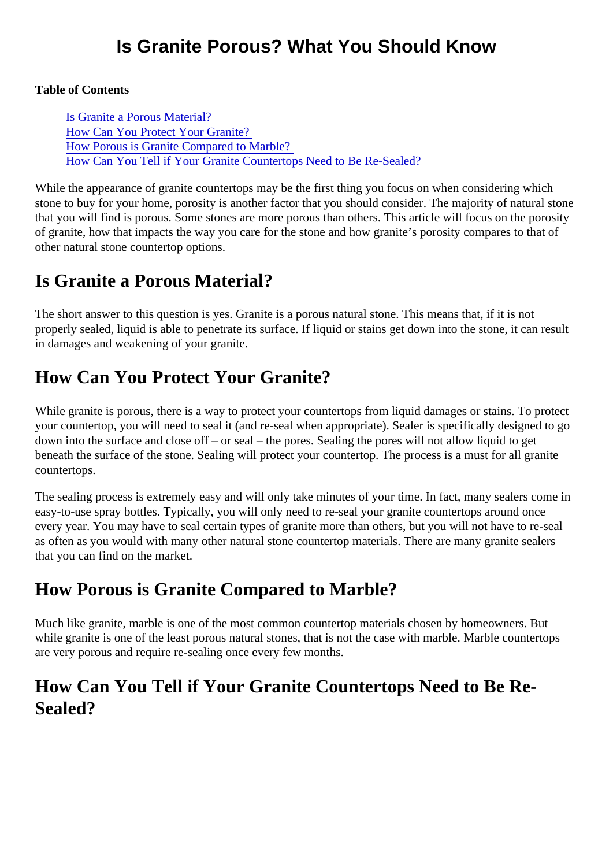Table of Contents

Is Granite a Porous Material? How Can You Protect Your Granite? How Porous is Granite Compared to Marble? How Can You Tell if Your Granite Countertops Need to Be Re-Sealed?

While the appearance of granite countertops may be the first thing you focus on when considering which stone to buy for your home, porosity is another factor that you should consider. The majority of natural sto that you will find is porous. Some stones are more porous than others. This article will focus on the porosit of granite, how that impacts the way you care for the stone and how granite's porosity compares to that of other natural stone countertop options.

## Is Granite a Porous Material?

The short answer to this question is yes. Granite is a porous natural stone. This means that, if it is not properly sealed, liquid is able to penetrate its surface. If liquid or stains get down into the stone, it can resu in damages and weakening of your granite.

## How Can You Protect Your Granite?

While granite is porous, there is a way to protect your countertops from liquid damages or stains. To prote your countertop, you will need to seal it (and re-seal when appropriate). Sealer is specifically designed to g down into the surface and close off – or seal – the pores. Sealing the pores will not allow liquid to get beneath the surface of the stone. Sealing will protect your countertop. The process is a must for all granite countertops.

The sealing process is extremely easy and will only take minutes of your time. In fact, many sealers come easy-to-use spray bottles. Typically, you will only need to re-seal your granite countertops around once every year. You may have to seal certain types of granite more than others, but you will not have to re-seal as often as you would with many other natural stone countertop materials. There are many granite sealers that you can find on the market.

## How Porous is Granite Compared to Marble?

Much like granite, marble is one of the most common countertop materials chosen by homeowners. But while granite is one of the least porous natural stones, that is not the case with marble. Marble countertops are very porous and require re-sealing once every few months.

## How Can You Tell if Your Granite Countertops Need to Be Re-Sealed?